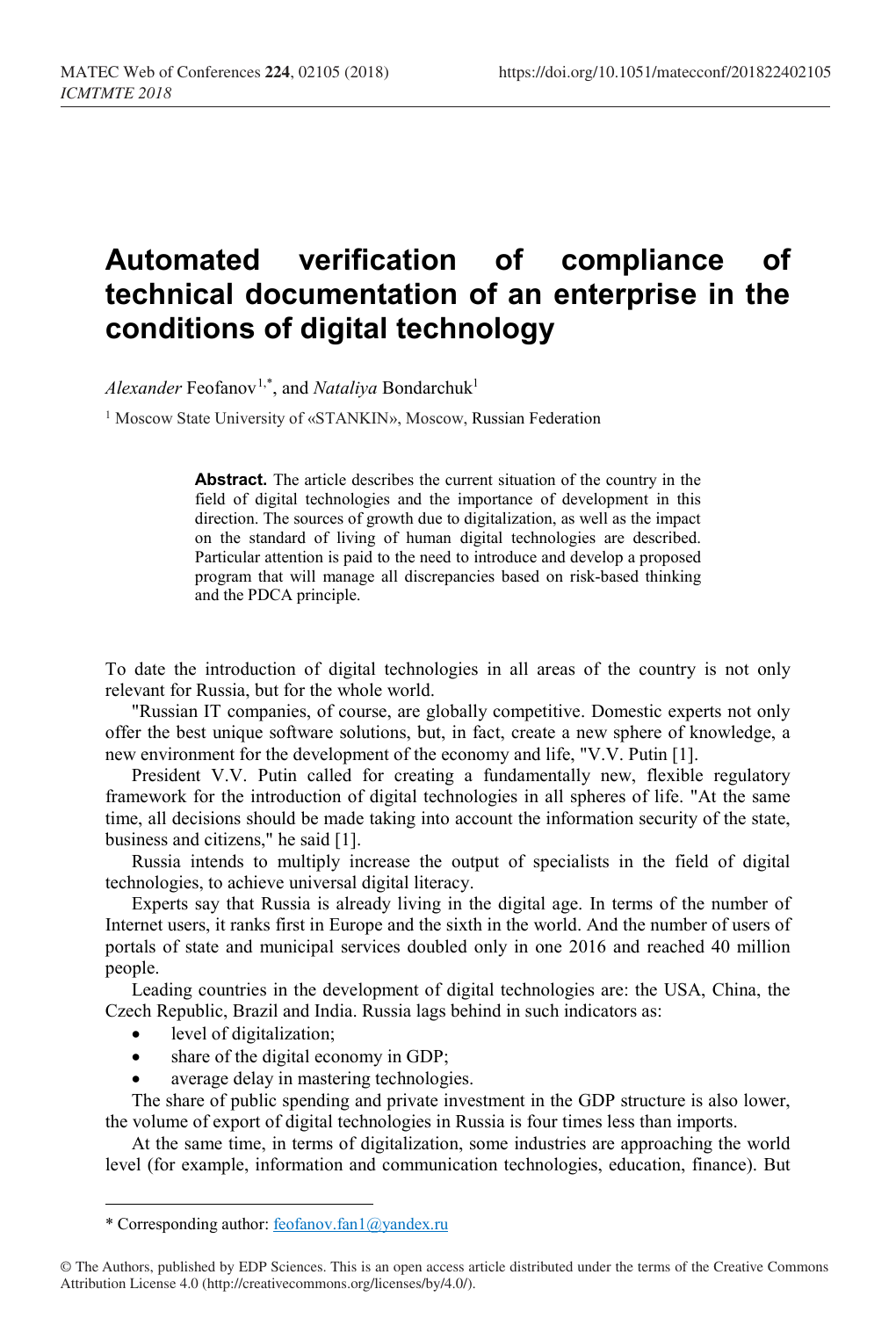## **Automated verification of compliance of technical documentation of an enterprise in the conditions of digital technology**

Alexander Feofanov<sup>[1,](#page-0-0)\*</sup>, and *Nataliya* Bondarchuk<sup>1</sup>

<sup>1</sup> Moscow State University of «STANKIN», Moscow, Russian Federation

**Abstract.** The article describes the current situation of the country in the field of digital technologies and the importance of development in this direction. The sources of growth due to digitalization, as well as the impact on the standard of living of human digital technologies are described. Particular attention is paid to the need to introduce and develop a proposed program that will manage all discrepancies based on risk-based thinking and the PDCA principle.

To date the introduction of digital technologies in all areas of the country is not only relevant for Russia, but for the whole world.

"Russian IT companies, of course, are globally competitive. Domestic experts not only offer the best unique software solutions, but, in fact, create a new sphere of knowledge, a new environment for the development of the economy and life, "V.V. Putin [1].

President V.V. Putin called for creating a fundamentally new, flexible regulatory framework for the introduction of digital technologies in all spheres of life. "At the same time, all decisions should be made taking into account the information security of the state, business and citizens," he said [1].

Russia intends to multiply increase the output of specialists in the field of digital technologies, to achieve universal digital literacy.

Experts say that Russia is already living in the digital age. In terms of the number of Internet users, it ranks first in Europe and the sixth in the world. And the number of users of portals of state and municipal services doubled only in one 2016 and reached 40 million people.

Leading countries in the development of digital technologies are: the USA, China, the Czech Republic, Brazil and India. Russia lags behind in such indicators as:

level of digitalization;

 $\overline{\phantom{a}}$ 

- share of the digital economy in GDP;
- average delay in mastering technologies.

The share of public spending and private investment in the GDP structure is also lower, the volume of export of digital technologies in Russia is four times less than imports.

At the same time, in terms of digitalization, some industries are approaching the world level (for example, information and communication technologies, education, finance). But

<sup>\*</sup> Corresponding author: feofanov.fan1@yandex.ru

<span id="page-0-0"></span><sup>©</sup> The Authors, published by EDP Sciences. This is an open access article distributed under the terms of the Creative Commons Attribution License 4.0 (http://creativecommons.org/licenses/by/4.0/).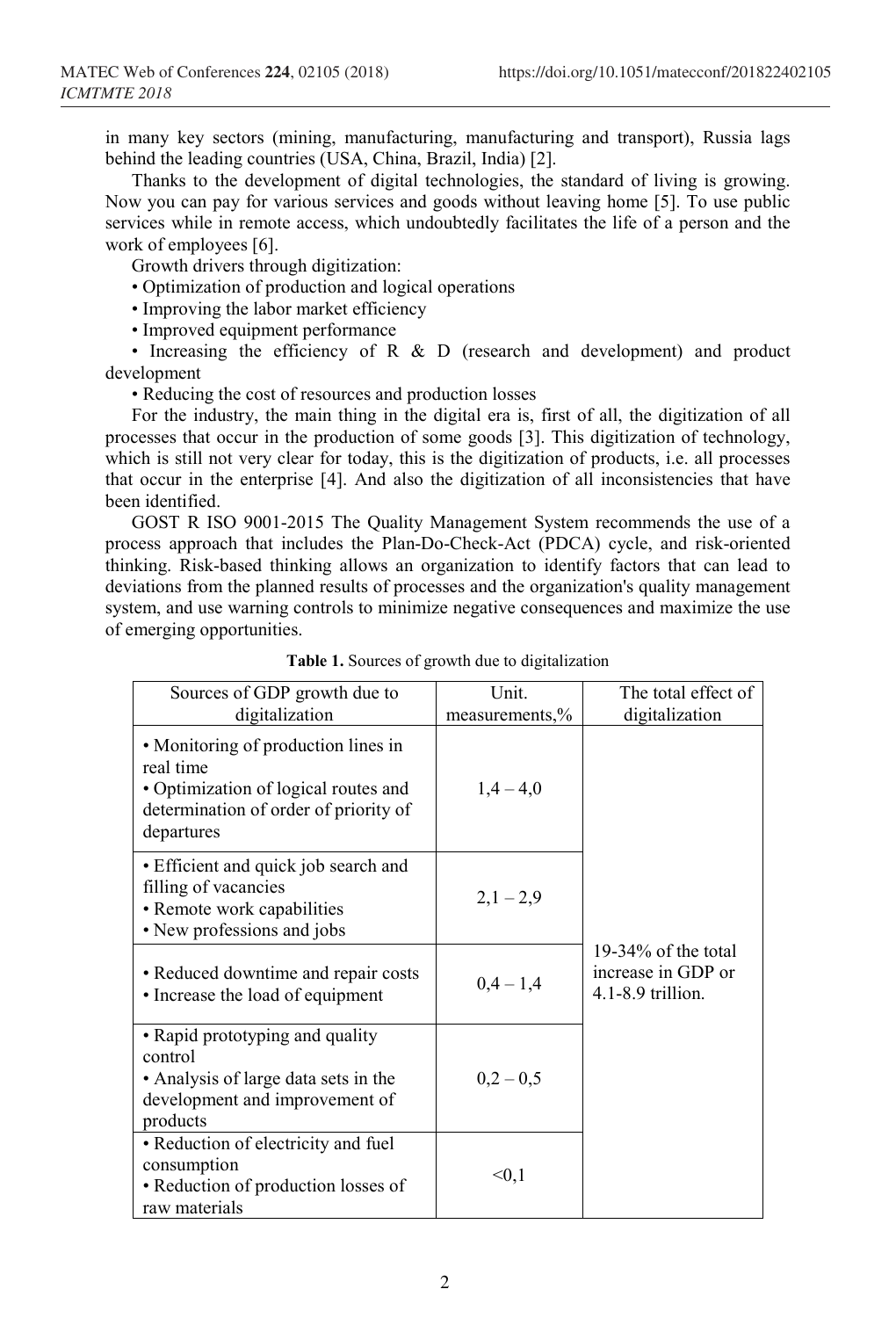in many key sectors (mining, manufacturing, manufacturing and transport), Russia lags behind the leading countries (USA, China, Brazil, India) [2].

Thanks to the development of digital technologies, the standard of living is growing. Now you can pay for various services and goods without leaving home [5]. To use public services while in remote access, which undoubtedly facilitates the life of a person and the work of employees [6].

Growth drivers through digitization:

• Optimization of production and logical operations

• Improving the labor market efficiency

• Improved equipment performance

• Increasing the efficiency of R & D (research and development) and product development

• Reducing the cost of resources and production losses

For the industry, the main thing in the digital era is, first of all, the digitization of all processes that occur in the production of some goods [3]. This digitization of technology, which is still not very clear for today, this is the digitization of products, i.e. all processes that occur in the enterprise [4]. And also the digitization of all inconsistencies that have been identified.

GOST R ISO 9001-2015 The Quality Management System recommends the use of a process approach that includes the Plan-Do-Check-Act (PDCA) cycle, and risk-oriented thinking. Risk-based thinking allows an organization to identify factors that can lead to deviations from the planned results of processes and the organization's quality management system, and use warning controls to minimize negative consequences and maximize the use of emerging opportunities.

| Sources of GDP growth due to                                                                                                                    | Unit.          | The total effect of                                             |
|-------------------------------------------------------------------------------------------------------------------------------------------------|----------------|-----------------------------------------------------------------|
| digitalization                                                                                                                                  | measurements,% | digitalization                                                  |
| • Monitoring of production lines in<br>real time<br>· Optimization of logical routes and<br>determination of order of priority of<br>departures | $1,4-4,0$      |                                                                 |
| • Efficient and quick job search and<br>filling of vacancies<br>• Remote work capabilities<br>• New professions and jobs                        | $2,1-2,9$      |                                                                 |
| • Reduced downtime and repair costs<br>• Increase the load of equipment                                                                         | $0,4-1,4$      | 19-34\% of the total<br>increase in GDP or<br>4.1-8.9 trillion. |
| • Rapid prototyping and quality<br>control<br>• Analysis of large data sets in the<br>development and improvement of<br>products                | $0,2 - 0,5$    |                                                                 |
| • Reduction of electricity and fuel<br>consumption<br>• Reduction of production losses of<br>raw materials                                      | < 0.1          |                                                                 |

**Table 1.** Sources of growth due to digitalization